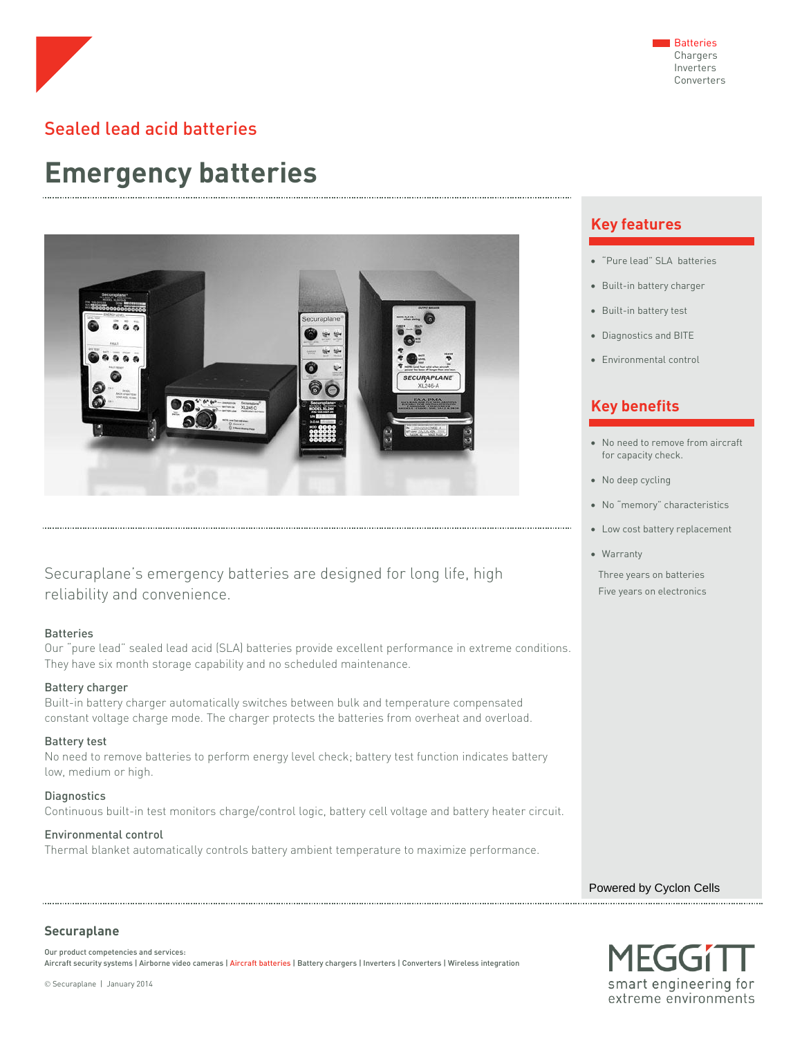

## Sealed lead acid batteries

# **Emergency batteries**



Securaplane's emergency batteries are designed for long life, high reliability and convenience.

#### **Batteries**

Our "pure lead" sealed lead acid (SLA) batteries provide excellent performance in extreme conditions. They have six month storage capability and no scheduled maintenance.

## Battery charger

Built-in battery charger automatically switches between bulk and temperature compensated constant voltage charge mode. The charger protects the batteries from overheat and overload.

#### Battery test

No need to remove batteries to perform energy level check; battery test function indicates battery low, medium or high.

**Diagnostics** Continuous built-in test monitors charge/control logic, battery cell voltage and battery heater circuit.

### Environmental control

Thermal blanket automatically controls battery ambient temperature to maximize performance.

## **Key features**

- "Pure lead" SLA batteries
- Built-in battery charger
- Built-in battery test
- Diagnostics and BITE
- Environmental control

## **Key benefits**

- No need to remove from aircraft for capacity check.
- No deep cycling
- No "memory" characteristics
- Low cost battery replacement
- Warranty

Three years on batteries Five years on electronics

Powered by Cyclon Cells



## **Securaplane**

Our product competencies and services: Aircraft security systems | Airborne video cameras | Aircraft batteries | Battery chargers | Inverters | Converters | Wireless integration

Securaplane | January 2014